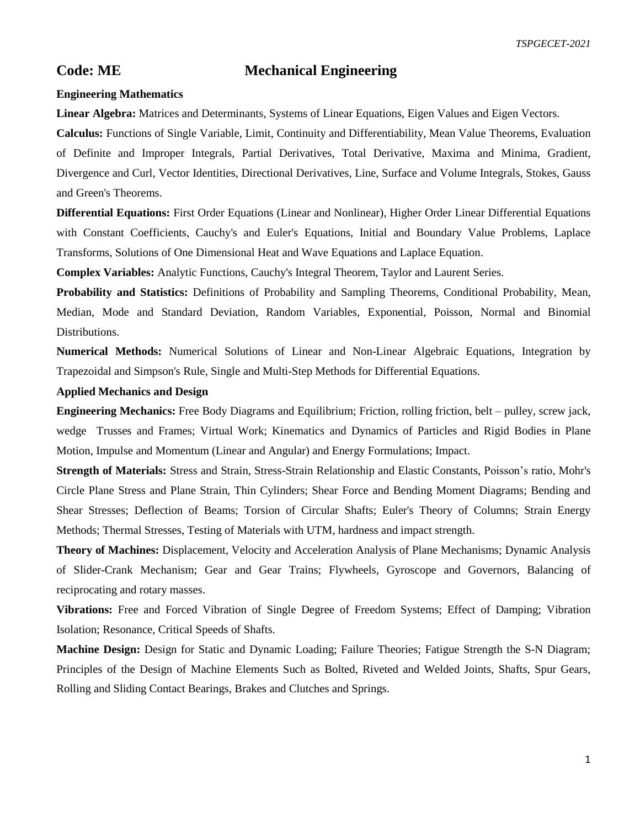# **Code: ME Mechanical Engineering**

### **Engineering Mathematics**

**Linear Algebra:** Matrices and Determinants, Systems of Linear Equations, Eigen Values and Eigen Vectors.

**Calculus:** Functions of Single Variable, Limit, Continuity and Differentiability, Mean Value Theorems, Evaluation of Definite and Improper Integrals, Partial Derivatives, Total Derivative, Maxima and Minima, Gradient, Divergence and Curl, Vector Identities, Directional Derivatives, Line, Surface and Volume Integrals, Stokes, Gauss and Green's Theorems.

**Differential Equations:** First Order Equations (Linear and Nonlinear), Higher Order Linear Differential Equations with Constant Coefficients, Cauchy's and Euler's Equations, Initial and Boundary Value Problems, Laplace Transforms, Solutions of One Dimensional Heat and Wave Equations and Laplace Equation.

**Complex Variables:** Analytic Functions, Cauchy's Integral Theorem, Taylor and Laurent Series.

**Probability and Statistics:** Definitions of Probability and Sampling Theorems, Conditional Probability, Mean, Median, Mode and Standard Deviation, Random Variables, Exponential, Poisson, Normal and Binomial Distributions.

**Numerical Methods:** Numerical Solutions of Linear and Non-Linear Algebraic Equations, Integration by Trapezoidal and Simpson's Rule, Single and Multi-Step Methods for Differential Equations.

## **Applied Mechanics and Design**

**Engineering Mechanics:** Free Body Diagrams and Equilibrium; Friction, rolling friction, belt – pulley, screw jack, wedge Trusses and Frames; Virtual Work; Kinematics and Dynamics of Particles and Rigid Bodies in Plane Motion, Impulse and Momentum (Linear and Angular) and Energy Formulations; Impact.

**Strength of Materials:** Stress and Strain, Stress-Strain Relationship and Elastic Constants, Poisson's ratio, Mohr's Circle Plane Stress and Plane Strain, Thin Cylinders; Shear Force and Bending Moment Diagrams; Bending and Shear Stresses; Deflection of Beams; Torsion of Circular Shafts; Euler's Theory of Columns; Strain Energy Methods; Thermal Stresses, Testing of Materials with UTM, hardness and impact strength.

**Theory of Machines:** Displacement, Velocity and Acceleration Analysis of Plane Mechanisms; Dynamic Analysis of Slider-Crank Mechanism; Gear and Gear Trains; Flywheels, Gyroscope and Governors, Balancing of reciprocating and rotary masses.

**Vibrations:** Free and Forced Vibration of Single Degree of Freedom Systems; Effect of Damping; Vibration Isolation; Resonance, Critical Speeds of Shafts.

**Machine Design:** Design for Static and Dynamic Loading; Failure Theories; Fatigue Strength the S-N Diagram; Principles of the Design of Machine Elements Such as Bolted, Riveted and Welded Joints, Shafts, Spur Gears, Rolling and Sliding Contact Bearings, Brakes and Clutches and Springs.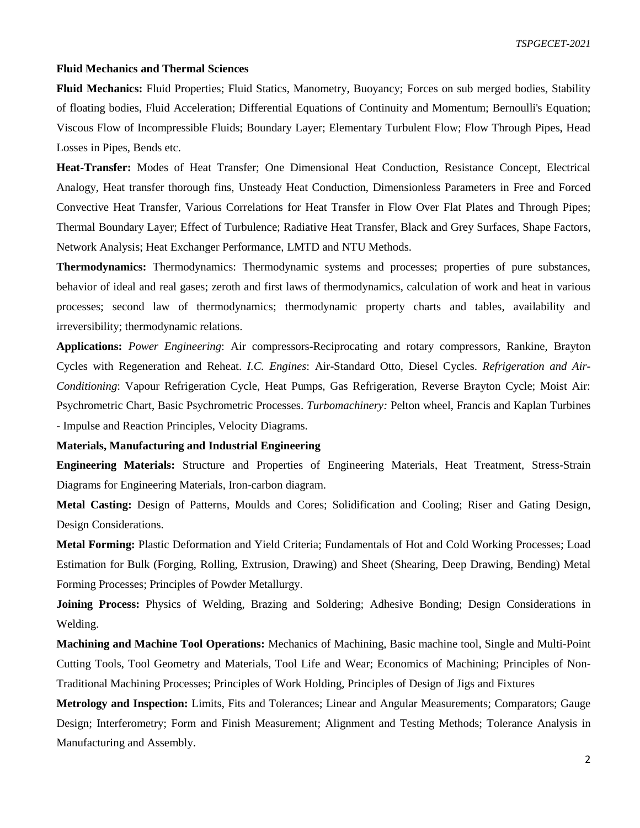#### **Fluid Mechanics and Thermal Sciences**

**Fluid Mechanics:** Fluid Properties; Fluid Statics, Manometry, Buoyancy; Forces on sub merged bodies, Stability of floating bodies, Fluid Acceleration; Differential Equations of Continuity and Momentum; Bernoulli's Equation; Viscous Flow of Incompressible Fluids; Boundary Layer; Elementary Turbulent Flow; Flow Through Pipes, Head Losses in Pipes, Bends etc.

**Heat-Transfer:** Modes of Heat Transfer; One Dimensional Heat Conduction, Resistance Concept, Electrical Analogy, Heat transfer thorough fins, Unsteady Heat Conduction, Dimensionless Parameters in Free and Forced Convective Heat Transfer, Various Correlations for Heat Transfer in Flow Over Flat Plates and Through Pipes; Thermal Boundary Layer; Effect of Turbulence; Radiative Heat Transfer, Black and Grey Surfaces, Shape Factors, Network Analysis; Heat Exchanger Performance, LMTD and NTU Methods.

**Thermodynamics:** Thermodynamics: Thermodynamic systems and processes; properties of pure substances, behavior of ideal and real gases; zeroth and first laws of thermodynamics, calculation of work and heat in various processes; second law of thermodynamics; thermodynamic property charts and tables, availability and irreversibility; thermodynamic relations.

**Applications:** *Power Engineering*: Air compressors-Reciprocating and rotary compressors, Rankine, Brayton Cycles with Regeneration and Reheat. *I.C. Engines*: Air-Standard Otto, Diesel Cycles. *Refrigeration and Air-Conditioning*: Vapour Refrigeration Cycle, Heat Pumps, Gas Refrigeration, Reverse Brayton Cycle; Moist Air: Psychrometric Chart, Basic Psychrometric Processes. *Turbomachinery:* Pelton wheel, Francis and Kaplan Turbines - Impulse and Reaction Principles, Velocity Diagrams.

**Materials, Manufacturing and Industrial Engineering** 

**Engineering Materials:** Structure and Properties of Engineering Materials, Heat Treatment, Stress-Strain Diagrams for Engineering Materials, Iron-carbon diagram.

**Metal Casting:** Design of Patterns, Moulds and Cores; Solidification and Cooling; Riser and Gating Design, Design Considerations.

**Metal Forming:** Plastic Deformation and Yield Criteria; Fundamentals of Hot and Cold Working Processes; Load Estimation for Bulk (Forging, Rolling, Extrusion, Drawing) and Sheet (Shearing, Deep Drawing, Bending) Metal Forming Processes; Principles of Powder Metallurgy.

**Joining Process:** Physics of Welding, Brazing and Soldering; Adhesive Bonding; Design Considerations in Welding.

**Machining and Machine Tool Operations:** Mechanics of Machining, Basic machine tool, Single and Multi-Point Cutting Tools, Tool Geometry and Materials, Tool Life and Wear; Economics of Machining; Principles of Non-Traditional Machining Processes; Principles of Work Holding, Principles of Design of Jigs and Fixtures

**Metrology and Inspection:** Limits, Fits and Tolerances; Linear and Angular Measurements; Comparators; Gauge Design; Interferometry; Form and Finish Measurement; Alignment and Testing Methods; Tolerance Analysis in Manufacturing and Assembly.